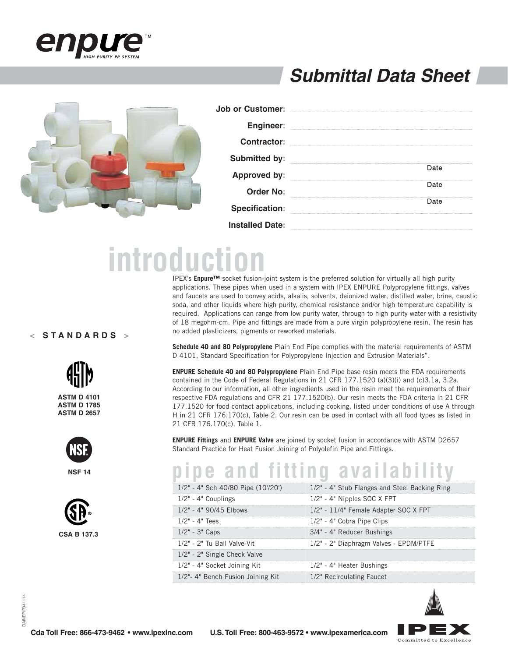

### **Submittal Data Sheet**



| <b>Job or Customer:</b> |      |
|-------------------------|------|
| <b>Engineer:</b>        |      |
| <b>Contractor:</b>      |      |
| Submitted by:           |      |
| <b>Approved by:</b>     | Date |
| Order No:               | Date |
| <b>Specification:</b>   | Date |
| <b>Installed Date:</b>  |      |

# **introduction**

IPEX's **Enpure™** socket fusion-joint system is the preferred solution for virtually all high purity applications. These pipes when used in a system with IPEX ENPURE Polypropylene fittings, valves and faucets are used to convey acids, alkalis, solvents, deionized water, distilled water, brine, caustic soda, and other liquids where high purity, chemical resistance and/or high temperature capability is required. Applications can range from low purity water, through to high purity water with a resistivity of 18 megohm-cm. Pipe and fittings are made from a pure virgin polypropylene resin. The resin has no added plasticizers, pigments or reworked materials.

**Schedule 40 and 80 Polypropylene** Plain End Pipe complies with the material requirements of ASTM D 4101, Standard Specification for Polypropylene Injection and Extrusion Materials".

**ENPURE Schedule 40 and 80 Polypropylene** Plain End Pipe base resin meets the FDA requirements contained in the Code of Federal Regulations in 21 CFR 177.1520 (a)(3)(i) and (c)3.1a, 3.2a. According to our information, all other ingredients used in the resin meet the requirements of their respective FDA regulations and CFR 21 177.1520(b). Our resin meets the FDA criteria in 21 CFR 177.1520 for food contact applications, including cooking, listed under conditions of use A through H in 21 CFR 176.170(c), Table 2. Our resin can be used in contact with all food types as listed in 21 CFR 176.170(c), Table 1.

**ENPURE Fittings** and **ENPURE Valve** are joined by socket fusion in accordance with ASTM D2657 Standard Practice for Heat Fusion Joining of Polyolefin Pipe and Fittings.

## **pipe and fitting availability**

|                                   | $1/2$ " - 4" Sch 40/80 Pipe (10'/20') $1/2$ " - 4" Stub Flanges and Steel Backing Ring |
|-----------------------------------|----------------------------------------------------------------------------------------|
| $1/2" - 4"$ Couplings             | $1/2"$ - 4" Nipples SOC X FPT                                                          |
| $1/2$ " - 4" 90/45 Flbows         | 1/2" - 11/4" Female Adapter SOC X FPT                                                  |
| $1/2" - 4"$ Tees                  | 1/2" - 4" Cobra Pipe Clips                                                             |
| $1/2" - 3"$ Caps                  | 3/4" - 4" Reducer Bushings                                                             |
| 1/2" - 2" Tu Ball Valve-Vit       | 1/2" - 2" Diaphragm Valves - EPDM/PTFE                                                 |
| 1/2" - 2" Single Check Valve      |                                                                                        |
| 1/2" - 4" Socket Joining Kit      | 1/2" - 4" Heater Bushings                                                              |
| 1/2"- 4" Bench Fusion Joining Kit | 1/2" Recirculating Faucet                                                              |



#### **< STANDARDS >**



**ASTM D 4101 ASTM D 1785 ASTM D 2657**



**NSF 14**

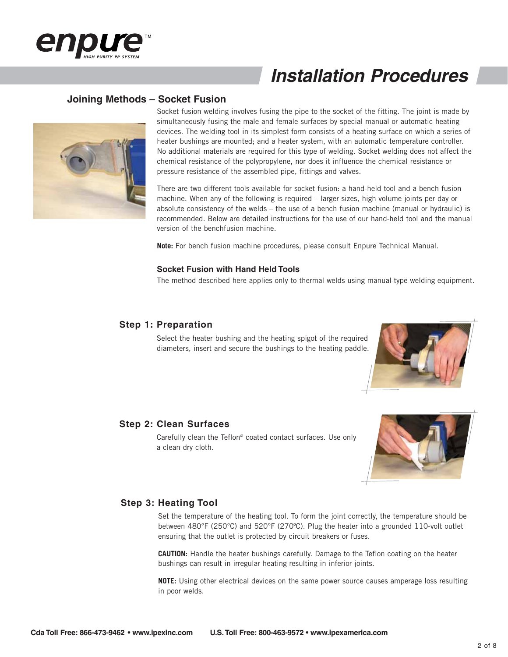

### **Joining Methods – Socket Fusion**



Socket fusion welding involves fusing the pipe to the socket of the fitting. The joint is made by simultaneously fusing the male and female surfaces by special manual or automatic heating devices. The welding tool in its simplest form consists of a heating surface on which a series of heater bushings are mounted; and a heater system, with an automatic temperature controller. No additional materials are required for this type of welding. Socket welding does not affect the chemical resistance of the polypropylene, nor does it influence the chemical resistance or pressure resistance of the assembled pipe, fittings and valves.

There are two different tools available for socket fusion: a hand-held tool and a bench fusion machine. When any of the following is required – larger sizes, high volume joints per day or absolute consistency of the welds – the use of a bench fusion machine (manual or hydraulic) is recommended. Below are detailed instructions for the use of our hand-held tool and the manual version of the benchfusion machine.

**Note:** For bench fusion machine procedures, please consult Enpure Technical Manual.

#### **Socket Fusion with Hand Held Tools**

The method described here applies only to thermal welds using manual-type welding equipment.

#### **Step 1: Preparation**

Select the heater bushing and the heating spigot of the required diameters, insert and secure the bushings to the heating paddle.



#### **Step 2: Clean Surfaces**

Carefully clean the Teflon<sup>®</sup> coated contact surfaces. Use only a clean dry cloth.



#### **Step 3: Heating Tool**

Set the temperature of the heating tool. To form the joint correctly, the temperature should be between 480°F (250°C) and 520°F (270ºC). Plug the heater into a grounded 110-volt outlet ensuring that the outlet is protected by circuit breakers or fuses.

**CAUTION:** Handle the heater bushings carefully. Damage to the Teflon coating on the heater bushings can result in irregular heating resulting in inferior joints.

**NOTE:** Using other electrical devices on the same power source causes amperage loss resulting in poor welds.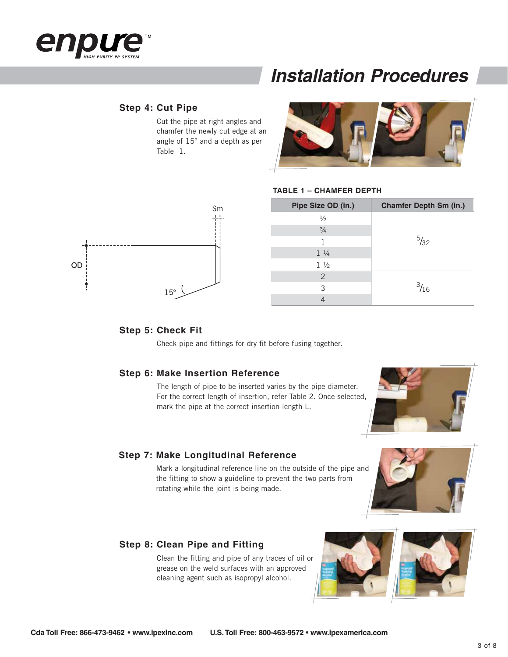

#### **Step 4: Cut Pipe**

Cut the pipe at right angles and chamfer the newly cut edge at an angle of 15° and a depth as per Table 1.



#### **TABLE 1 – CHAMFER DEPTH**



#### **Step 5: Check Fit**

Check pipe and fittings for dry fit before fusing together.

#### **Step 6: Make Insertion Reference**

The length of pipe to be inserted varies by the pipe diameter. For the correct length of insertion, refer Table 2. Once selected, mark the pipe at the correct insertion length L.

#### **Step 7: Make Longitudinal Reference**

Mark a longitudinal reference line on the outside of the pipe and the fitting to show a guideline to prevent the two parts from rotating while the joint is being made.

#### **Step 8: Clean Pipe and Fitting**

Clean the fitting and pipe of any traces of oil or grease on the weld surfaces with an approved cleaning agent such as isopropyl alcohol.

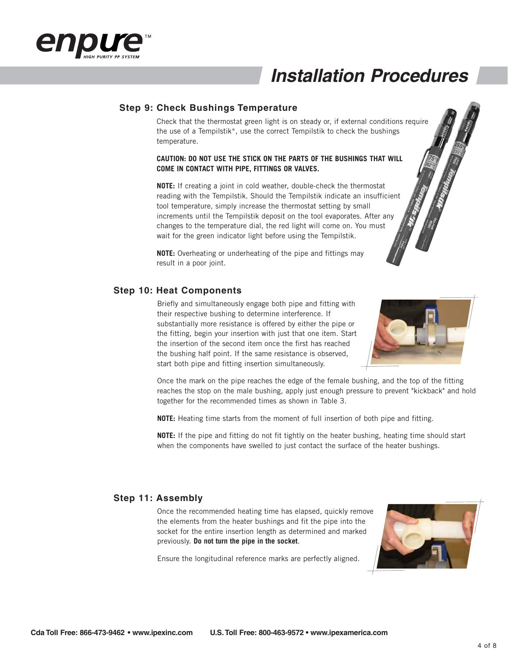

#### **Step 9: Check Bushings Temperature**

Check that the thermostat green light is on steady or, if external conditions require the use of a Tempilstik\*, use the correct Tempilstik to check the bushings temperature.

#### **CAUTION: DO NOT USE THE STICK ON THE PARTS OF THE BUSHINGS THAT WILL COME IN CONTACT WITH PIPE, FITTINGS OR VALVES.**

**NOTE:** If creating a joint in cold weather, double-check the thermostat reading with the Tempilstik. Should the Tempilstik indicate an insufficient tool temperature, simply increase the thermostat setting by small increments until the Tempilstik deposit on the tool evaporates. After any changes to the temperature dial, the red light will come on. You must wait for the green indicator light before using the Tempilstik.

**NOTE:** Overheating or underheating of the pipe and fittings may result in a poor joint.

#### **Step 10: Heat Components**

Briefly and simultaneously engage both pipe and fitting with their respective bushing to determine interference. If substantially more resistance is offered by either the pipe or the fitting, begin your insertion with just that one item. Start the insertion of the second item once the first has reached the bushing half point. If the same resistance is observed, start both pipe and fitting insertion simultaneously.



Once the mark on the pipe reaches the edge of the female bushing, and the top of the fitting reaches the stop on the male bushing, apply just enough pressure to prevent "kickback" and hold together for the recommended times as shown in Table 3.

**NOTE:** Heating time starts from the moment of full insertion of both pipe and fitting.

**NOTE:** If the pipe and fitting do not fit tightly on the heater bushing, heating time should start when the components have swelled to just contact the surface of the heater bushings.

#### **Step 11: Assembly**

Once the recommended heating time has elapsed, quickly remove the elements from the heater bushings and fit the pipe into the socket for the entire insertion length as determined and marked previously. **Do not turn the pipe in the socket**.

Ensure the longitudinal reference marks are perfectly aligned.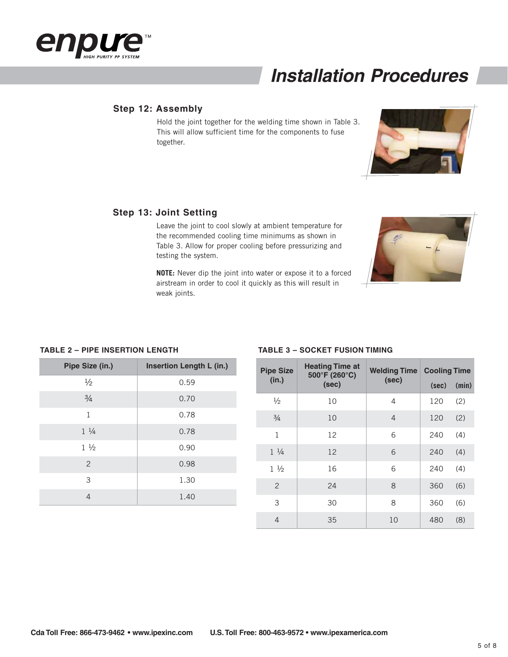

#### **Step 12: Assembly**

Hold the joint together for the welding time shown in Table 3. This will allow sufficient time for the components to fuse together.



Leave the joint to cool slowly at ambient temperature for the recommended cooling time minimums as shown in Table 3. Allow for proper cooling before pressurizing and testing the system.

**NOTE:** Never dip the joint into water or expose it to a forced airstream in order to cool it quickly as this will result in weak joints.

#### **TABLE 2 – PIPE INSERTION LENGTH**

| Pipe Size (in.) | Insertion Length L (in.) |  |
|-----------------|--------------------------|--|
| $\frac{1}{2}$   | 0.59                     |  |
| $\frac{3}{4}$   | 0.70                     |  |
| $\mathbf{1}$    | 0.78                     |  |
| $1 \frac{1}{4}$ | 0.78                     |  |
| $1\frac{1}{2}$  | 0.90                     |  |
| 2               | 0.98                     |  |
| 3               | 1.30                     |  |
| $\overline{4}$  | 1.40                     |  |

| <b>Pipe Size</b> | <b>Heating Time at</b><br>500°F (260°C)<br>(in.)<br>(sec)<br>(sec) | <b>Welding Time</b> | <b>Cooling Time</b> |       |
|------------------|--------------------------------------------------------------------|---------------------|---------------------|-------|
|                  |                                                                    |                     | (sec)               | (min) |
| $\frac{1}{2}$    | 10                                                                 | 4                   | 120                 | (2)   |
| $\frac{3}{4}$    | 10                                                                 | $\overline{4}$      | 120                 | (2)   |
| $\mathbf{1}$     | 12                                                                 | 6                   | 240                 | (4)   |
| $1 \frac{1}{4}$  | 12                                                                 | 6                   | 240                 | (4)   |
| $1\frac{1}{2}$   | 16                                                                 | 6                   | 240                 | (4)   |
| $\overline{2}$   | 24                                                                 | 8                   | 360                 | (6)   |
| 3                | 30                                                                 | 8                   | 360                 | (6)   |
| 4                | 35                                                                 | 10                  | 480                 | (8)   |

**TABLE 3 – SOCKET FUSION TIMING**

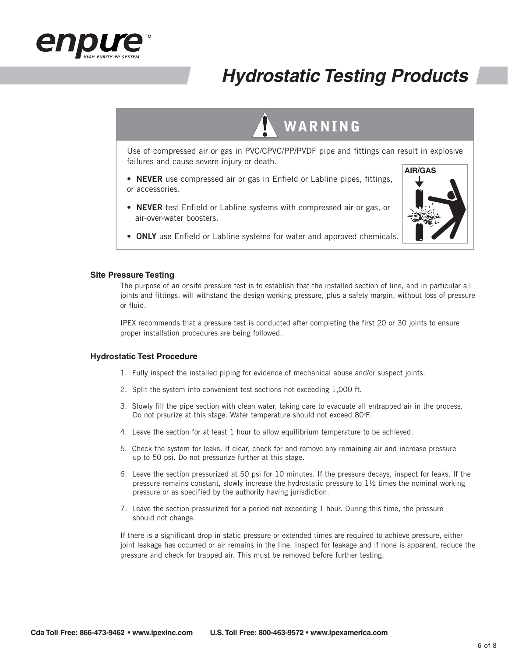

### **Hydrostatic Testing Products**



Use of compressed air or gas in PVC/CPVC/PP/PVDF pipe and fittings can result in explosive failures and cause severe injury or death.

- **NEVER** use compressed air or gas in Enfield or Labline pipes, fittings, or accessories.
- **NEVER** test Enfield or Labline systems with compressed air or gas, or air-over-water boosters.



• **ONLY** use Enfield or Labline systems for water and approved chemicals.

#### **Site Pressure Testing**

The purpose of an onsite pressure test is to establish that the installed section of line, and in particular all joints and fittings, will withstand the design working pressure, plus a safety margin, without loss of pressure or fluid.

IPEX recommends that a pressure test is conducted after completing the first 20 or 30 joints to ensure proper installation procedures are being followed.

#### **Hydrostatic Test Procedure**

- 1. Fully inspect the installed piping for evidence of mechanical abuse and/or suspect joints.
- 2. Split the system into convenient test sections not exceeding 1,000 ft.
- 3. Slowly fill the pipe section with clean water, taking care to evacuate all entrapped air in the process. Do not prsurize at this stage. Water temperature should not exceed 80°F.
- 4. Leave the section for at least 1 hour to allow equilibrium temperature to be achieved.
- 5. Check the system for leaks. If clear, check for and remove any remaining air and increase pressure up to 50 psi. Do not pressurize further at this stage.
- 6. Leave the section pressurized at 50 psi for 10 minutes. If the pressure decays, inspect for leaks. If the pressure remains constant, slowly increase the hydrostatic pressure to  $1\frac{1}{2}$  times the nominal working pressure or as specified by the authority having jurisdiction.
- 7. Leave the section pressurized for a period not exceeding 1 hour. During this time, the pressure should not change.

If there is a significant drop in static pressure or extended times are required to achieve pressure, either joint leakage has occurred or air remains in the line. Inspect for leakage and if none is apparent, reduce the pressure and check for trapped air. This must be removed before further testing.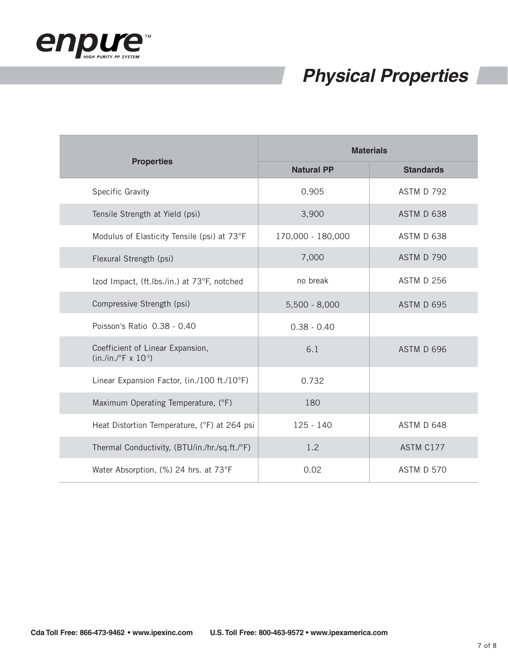

### **Physical Properties**

|                                                           | <b>Materials</b>  |                   |  |
|-----------------------------------------------------------|-------------------|-------------------|--|
| <b>Properties</b>                                         | <b>Natural PP</b> | <b>Standards</b>  |  |
| Specific Gravity                                          | 0.905             | ASTM D 792        |  |
| Tensile Strength at Yield (psi)                           | 3,900             | ASTM D 638        |  |
| Modulus of Elasticity Tensile (psi) at 73°F               | 170,000 - 180,000 | ASTM D 638        |  |
| Flexural Strength (psi)                                   | 7,000             | ASTM D 790        |  |
| Izod Impact, (ft.Ibs./in.) at 73°F, notched               | no break          | <b>ASTM D 256</b> |  |
| Compressive Strength (psi)                                | $5,500 - 8,000$   | ASTM D 695        |  |
| Poisson's Ratio 0.38 - 0.40                               | $0.38 - 0.40$     |                   |  |
| Coefficient of Linear Expansion,<br>$(in./in./°F x 10-5)$ | 6.1               | ASTM D 696        |  |
| Linear Expansion Factor, (in./100 ft./10°F)               | 0.732             |                   |  |
| Maximum Operating Temperature, (°F)                       | 180               |                   |  |
| Heat Distortion Temperature, (°F) at 264 psi              | $125 - 140$       | ASTM D 648        |  |
| Thermal Conductivity, (BTU/in./hr./sq.ft./°F)             | 1.2               | ASTM C177         |  |
| Water Absorption, (%) 24 hrs. at 73°F                     | 0.02              | ASTM D 570        |  |